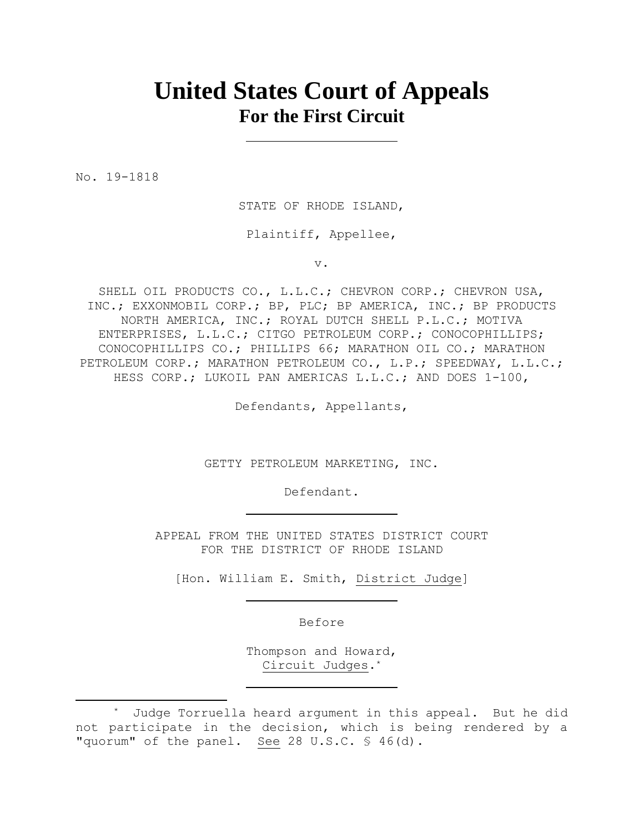# **United States Court of Appeals For the First Circuit**

No. 19-1818

STATE OF RHODE ISLAND,

Plaintiff, Appellee,

v.

SHELL OIL PRODUCTS CO., L.L.C.; CHEVRON CORP.; CHEVRON USA, INC.; EXXONMOBIL CORP.; BP, PLC; BP AMERICA, INC.; BP PRODUCTS NORTH AMERICA, INC.; ROYAL DUTCH SHELL P.L.C.; MOTIVA ENTERPRISES, L.L.C.; CITGO PETROLEUM CORP.; CONOCOPHILLIPS; CONOCOPHILLIPS CO.; PHILLIPS 66; MARATHON OIL CO.; MARATHON PETROLEUM CORP.; MARATHON PETROLEUM CO., L.P.; SPEEDWAY, L.L.C.; HESS CORP.; LUKOIL PAN AMERICAS L.L.C.; AND DOES 1-100,

Defendants, Appellants,

GETTY PETROLEUM MARKETING, INC.

Defendant.

APPEAL FROM THE UNITED STATES DISTRICT COURT FOR THE DISTRICT OF RHODE ISLAND

[Hon. William E. Smith, District Judge]

Before

Thompson and Howard, Circuit Judges.\*

<sup>\*</sup> Judge Torruella heard argument in this appeal. But he did not participate in the decision, which is being rendered by a "quorum" of the panel. See 28 U.S.C. § 46(d).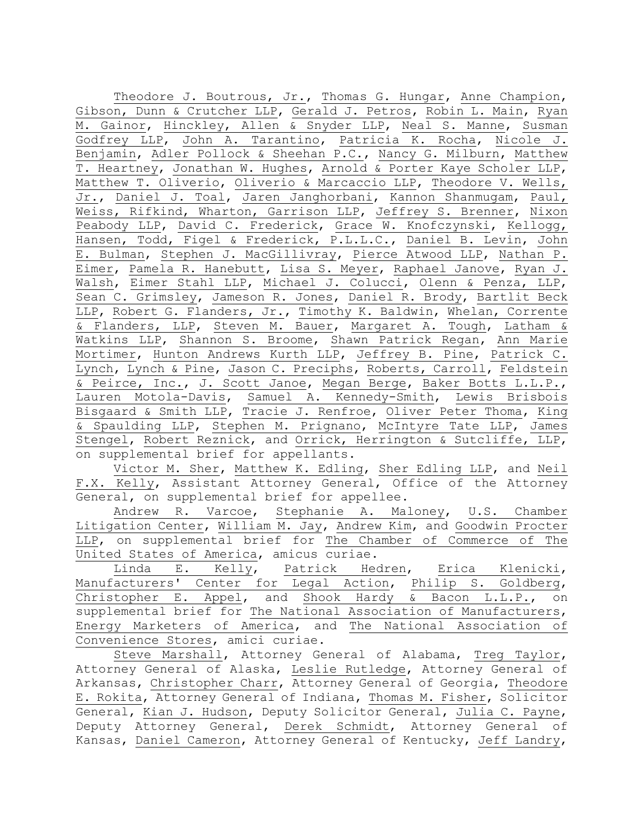Theodore J. Boutrous, Jr., Thomas G. Hungar, Anne Champion, Gibson, Dunn & Crutcher LLP, Gerald J. Petros, Robin L. Main, Ryan M. Gainor, Hinckley, Allen & Snyder LLP, Neal S. Manne, Susman Godfrey LLP, John A. Tarantino, Patricia K. Rocha, Nicole J. Benjamin, Adler Pollock & Sheehan P.C., Nancy G. Milburn, Matthew T. Heartney, Jonathan W. Hughes, Arnold & Porter Kaye Scholer LLP, Matthew T. Oliverio, Oliverio & Marcaccio LLP, Theodore V. Wells, Jr., Daniel J. Toal, Jaren Janghorbani, Kannon Shanmugam, Paul, Weiss, Rifkind, Wharton, Garrison LLP, Jeffrey S. Brenner, Nixon Peabody LLP, David C. Frederick, Grace W. Knofczynski, Kellogg, Hansen, Todd, Figel & Frederick, P.L.L.C., Daniel B. Levin, John E. Bulman, Stephen J. MacGillivray, Pierce Atwood LLP, Nathan P. Eimer, Pamela R. Hanebutt, Lisa S. Meyer, Raphael Janove, Ryan J. Walsh, Eimer Stahl LLP, Michael J. Colucci, Olenn & Penza, LLP, Sean C. Grimsley, Jameson R. Jones, Daniel R. Brody, Bartlit Beck LLP, Robert G. Flanders, Jr., Timothy K. Baldwin, Whelan, Corrente & Flanders, LLP, Steven M. Bauer, Margaret A. Tough, Latham & Watkins LLP, Shannon S. Broome, Shawn Patrick Regan, Ann Marie Mortimer, Hunton Andrews Kurth LLP, Jeffrey B. Pine, Patrick C. Lynch, Lynch & Pine, Jason C. Preciphs, Roberts, Carroll, Feldstein & Peirce, Inc., J. Scott Janoe, Megan Berge, Baker Botts L.L.P., Lauren Motola-Davis, Samuel A. Kennedy-Smith, Lewis Brisbois Bisgaard & Smith LLP, Tracie J. Renfroe, Oliver Peter Thoma, King & Spaulding LLP, Stephen M. Prignano, McIntyre Tate LLP, James Stengel, Robert Reznick, and Orrick, Herrington & Sutcliffe, LLP, on supplemental brief for appellants.

Victor M. Sher, Matthew K. Edling, Sher Edling LLP, and Neil F.X. Kelly, Assistant Attorney General, Office of the Attorney General, on supplemental brief for appellee.

Andrew R. Varcoe, Stephanie A. Maloney, U.S. Chamber Litigation Center, William M. Jay, Andrew Kim, and Goodwin Procter LLP, on supplemental brief for The Chamber of Commerce of The United States of America, amicus curiae.

Linda E. Kelly, Patrick Hedren, Erica Klenicki, Manufacturers' Center for Legal Action, Philip S. Goldberg, Christopher E. Appel, and Shook Hardy & Bacon L.L.P., on supplemental brief for The National Association of Manufacturers, Energy Marketers of America, and The National Association of Convenience Stores, amici curiae.

Steve Marshall, Attorney General of Alabama, Treg Taylor, Attorney General of Alaska, Leslie Rutledge, Attorney General of Arkansas, Christopher Charr, Attorney General of Georgia, Theodore E. Rokita, Attorney General of Indiana, Thomas M. Fisher, Solicitor General, Kian J. Hudson, Deputy Solicitor General, Julia C. Payne, Deputy Attorney General, Derek Schmidt, Attorney General of Kansas, Daniel Cameron, Attorney General of Kentucky, Jeff Landry,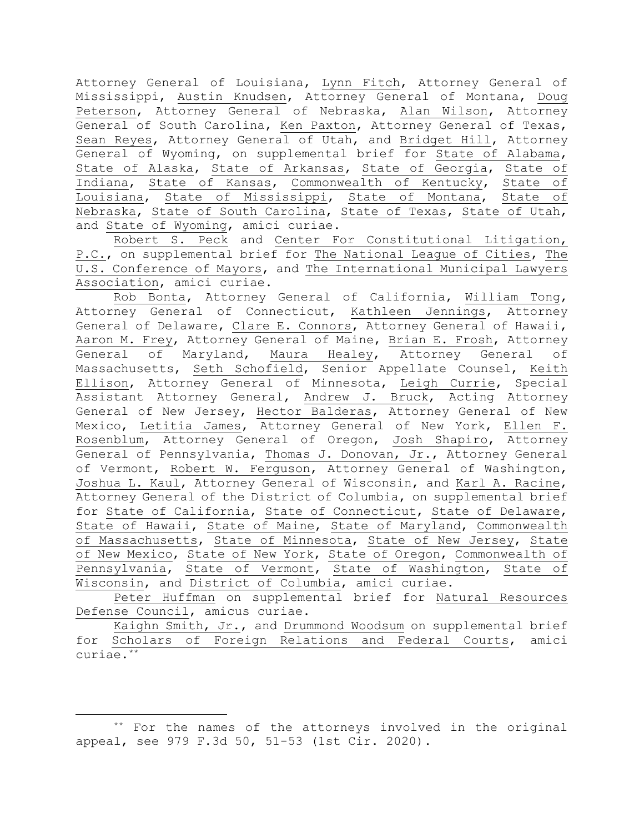Attorney General of Louisiana, Lynn Fitch, Attorney General of Mississippi, Austin Knudsen, Attorney General of Montana, Doug Peterson, Attorney General of Nebraska, Alan Wilson, Attorney General of South Carolina, Ken Paxton, Attorney General of Texas, Sean Reyes, Attorney General of Utah, and Bridget Hill, Attorney General of Wyoming, on supplemental brief for State of Alabama, State of Alaska, State of Arkansas, State of Georgia, State of Indiana, State of Kansas, Commonwealth of Kentucky, State of Louisiana, State of Mississippi, State of Montana, State of Nebraska, State of South Carolina, State of Texas, State of Utah, and State of Wyoming, amici curiae.

Robert S. Peck and Center For Constitutional Litigation, P.C., on supplemental brief for The National League of Cities, The U.S. Conference of Mayors, and The International Municipal Lawyers Association, amici curiae.

Rob Bonta, Attorney General of California, William Tong, Attorney General of Connecticut, Kathleen Jennings, Attorney General of Delaware, Clare E. Connors, Attorney General of Hawaii, Aaron M. Frey, Attorney General of Maine, Brian E. Frosh, Attorney General of Maryland, Maura Healey, Attorney General of Massachusetts, Seth Schofield, Senior Appellate Counsel, Keith Ellison, Attorney General of Minnesota, Leigh Currie, Special Assistant Attorney General, Andrew J. Bruck, Acting Attorney General of New Jersey, Hector Balderas, Attorney General of New Mexico, Letitia James, Attorney General of New York, Ellen F. Rosenblum, Attorney General of Oregon, Josh Shapiro, Attorney General of Pennsylvania, Thomas J. Donovan, Jr., Attorney General of Vermont, Robert W. Ferguson, Attorney General of Washington, Joshua L. Kaul, Attorney General of Wisconsin, and Karl A. Racine, Attorney General of the District of Columbia, on supplemental brief for State of California, State of Connecticut, State of Delaware, State of Hawaii, State of Maine, State of Maryland, Commonwealth of Massachusetts, State of Minnesota, State of New Jersey, State of New Mexico, State of New York, State of Oregon, Commonwealth of Pennsylvania, State of Vermont, State of Washington, State of Wisconsin, and District of Columbia, amici curiae.

Peter Huffman on supplemental brief for Natural Resources Defense Council, amicus curiae.

Kaighn Smith, Jr., and Drummond Woodsum on supplemental brief for Scholars of Foreign Relations and Federal Courts, amici curiae.\*\*

<sup>\*\*</sup> For the names of the attorneys involved in the original appeal, see 979 F.3d 50, 51-53 (1st Cir. 2020).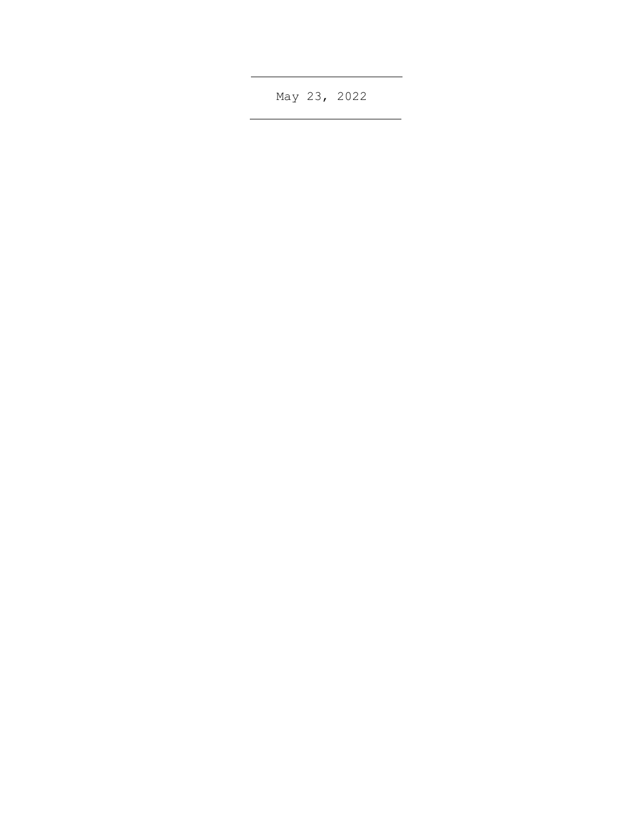May 23, 2022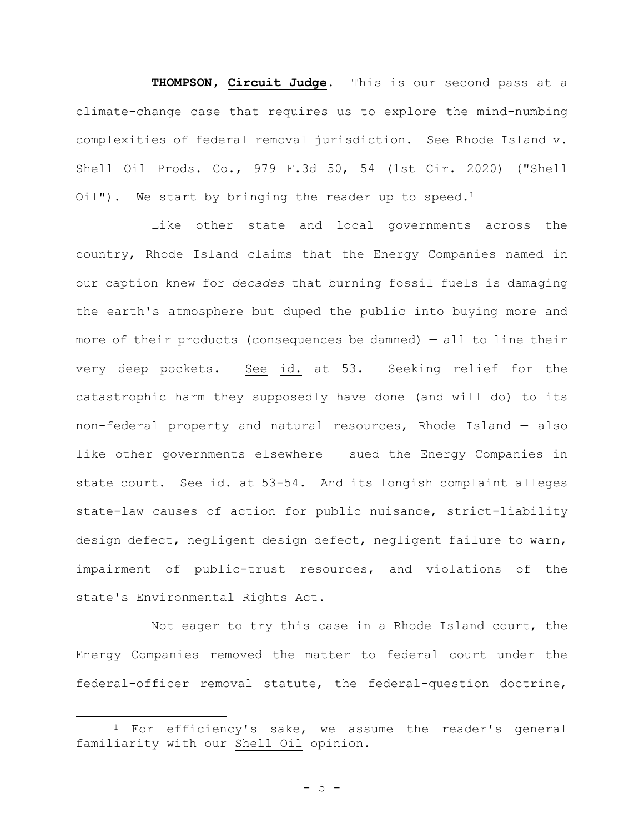**THOMPSON, Circuit Judge**. This is our second pass at a climate-change case that requires us to explore the mind-numbing complexities of federal removal jurisdiction. See Rhode Island v. Shell Oil Prods. Co., 979 F.3d 50, 54 (1st Cir. 2020) ("Shell  $Oi1$ "). We start by bringing the reader up to speed.<sup>1</sup>

Like other state and local governments across the country, Rhode Island claims that the Energy Companies named in our caption knew for *decades* that burning fossil fuels is damaging the earth's atmosphere but duped the public into buying more and more of their products (consequences be damned) — all to line their very deep pockets. See id. at 53. Seeking relief for the catastrophic harm they supposedly have done (and will do) to its non-federal property and natural resources, Rhode Island — also like other governments elsewhere — sued the Energy Companies in state court. See id. at 53-54. And its longish complaint alleges state-law causes of action for public nuisance, strict-liability design defect, negligent design defect, negligent failure to warn, impairment of public-trust resources, and violations of the state's Environmental Rights Act.

Not eager to try this case in a Rhode Island court, the Energy Companies removed the matter to federal court under the federal-officer removal statute, the federal-question doctrine,

 $1$  For efficiency's sake, we assume the reader's general familiarity with our Shell Oil opinion.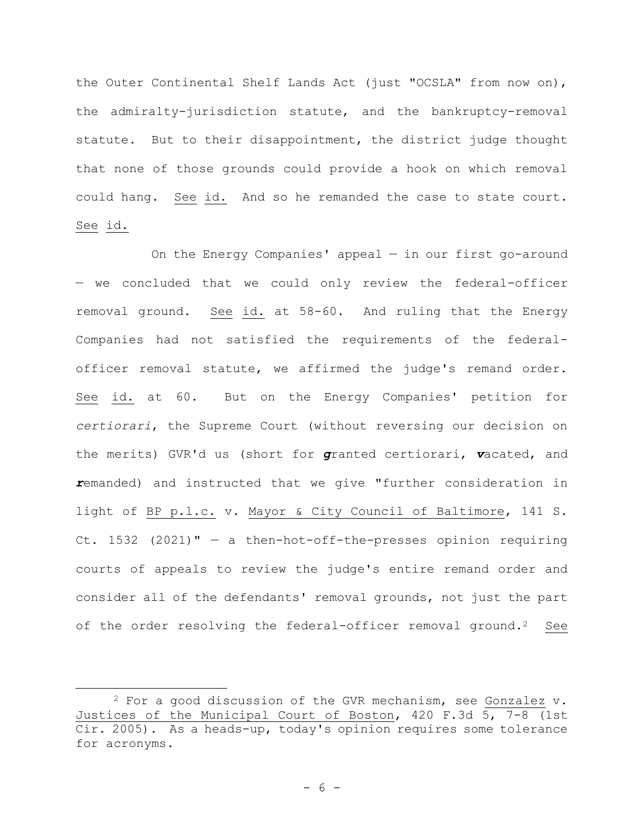the Outer Continental Shelf Lands Act (just "OCSLA" from now on), the admiralty-jurisdiction statute, and the bankruptcy-removal statute. But to their disappointment, the district judge thought that none of those grounds could provide a hook on which removal could hang. See id. And so he remanded the case to state court. See id.

On the Energy Companies' appeal — in our first go-around — we concluded that we could only review the federal-officer removal ground. See id. at 58-60. And ruling that the Energy Companies had not satisfied the requirements of the federalofficer removal statute, we affirmed the judge's remand order. See id. at 60. But on the Energy Companies' petition for *certiorari*, the Supreme Court (without reversing our decision on the merits) GVR'd us (short for *g*ranted certiorari, *v*acated, and *r*emanded) and instructed that we give "further consideration in light of BP p.l.c. v. Mayor & City Council of Baltimore, 141 S. Ct. 1532 (2021)" — a then-hot-off-the-presses opinion requiring courts of appeals to review the judge's entire remand order and consider all of the defendants' removal grounds, not just the part of the order resolving the federal-officer removal ground.<sup>2</sup> See

 $2$  For a good discussion of the GVR mechanism, see Gonzalez  $v$ . Justices of the Municipal Court of Boston, 420 F.3d 5, 7-8 (1st Cir. 2005). As a heads-up, today's opinion requires some tolerance for acronyms.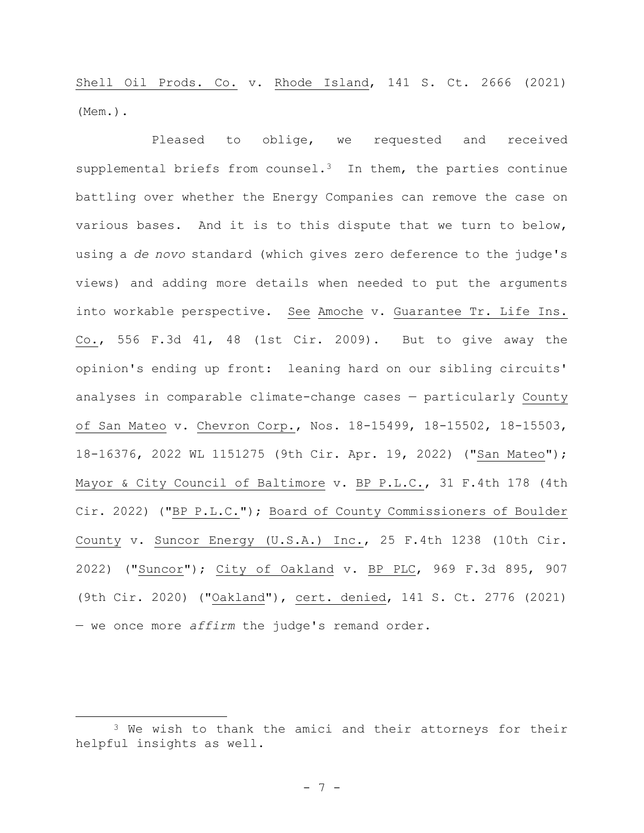Shell Oil Prods. Co. v. Rhode Island, 141 S. Ct. 2666 (2021) (Mem.).

Pleased to oblige, we requested and received supplemental briefs from counsel.<sup>3</sup> In them, the parties continue battling over whether the Energy Companies can remove the case on various bases. And it is to this dispute that we turn to below, using a *de novo* standard (which gives zero deference to the judge's views) and adding more details when needed to put the arguments into workable perspective. See Amoche v. Guarantee Tr. Life Ins. Co., 556 F.3d 41, 48 (1st Cir. 2009). But to give away the opinion's ending up front: leaning hard on our sibling circuits' analyses in comparable climate-change cases — particularly County of San Mateo v. Chevron Corp., Nos. 18-15499, 18-15502, 18-15503, 18-16376, 2022 WL 1151275 (9th Cir. Apr. 19, 2022) ("San Mateo"); Mayor & City Council of Baltimore v. BP P.L.C., 31 F.4th 178 (4th Cir. 2022) ("BP P.L.C."); Board of County Commissioners of Boulder County v. Suncor Energy (U.S.A.) Inc., 25 F.4th 1238 (10th Cir. 2022) ("Suncor"); City of Oakland v. BP PLC, 969 F.3d 895, 907 (9th Cir. 2020) ("Oakland"), cert. denied, 141 S. Ct. 2776 (2021) — we once more *affirm* the judge's remand order.

<sup>&</sup>lt;sup>3</sup> We wish to thank the amici and their attorneys for their helpful insights as well.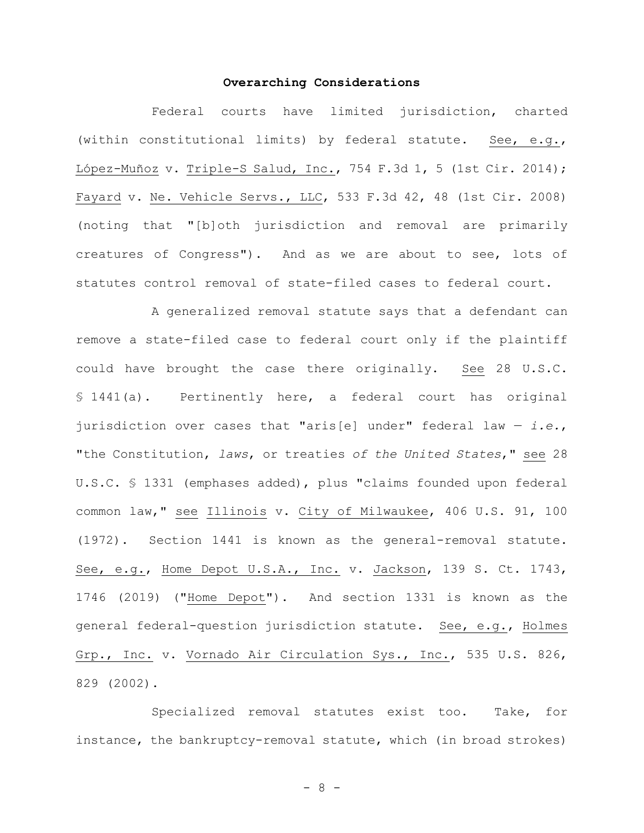## **Overarching Considerations**

Federal courts have limited jurisdiction, charted (within constitutional limits) by federal statute. See, e.g., López-Muñoz v. Triple-S Salud, Inc., 754 F.3d 1, 5 (1st Cir. 2014); Fayard v. Ne. Vehicle Servs., LLC, 533 F.3d 42, 48 (1st Cir. 2008) (noting that "[b]oth jurisdiction and removal are primarily creatures of Congress"). And as we are about to see, lots of statutes control removal of state-filed cases to federal court.

A generalized removal statute says that a defendant can remove a state-filed case to federal court only if the plaintiff could have brought the case there originally. See 28 U.S.C. § 1441(a). Pertinently here, a federal court has original jurisdiction over cases that "aris[e] under" federal law — *i.e.*, "the Constitution, *laws*, or treaties *of the United States*," see 28 U.S.C. § 1331 (emphases added), plus "claims founded upon federal common law," see Illinois v. City of Milwaukee, 406 U.S. 91, 100 (1972). Section 1441 is known as the general-removal statute. See, e.g., Home Depot U.S.A., Inc. v. Jackson, 139 S. Ct. 1743, 1746 (2019) ("Home Depot"). And section 1331 is known as the general federal-question jurisdiction statute. See, e.g., Holmes Grp., Inc. v. Vornado Air Circulation Sys., Inc., 535 U.S. 826, 829 (2002).

Specialized removal statutes exist too. Take, for instance, the bankruptcy-removal statute, which (in broad strokes)

- 8 -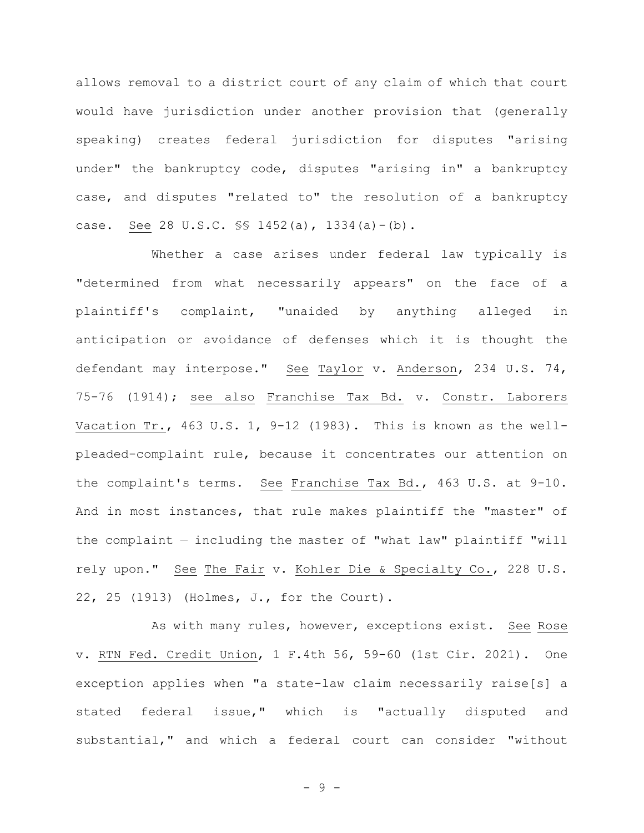allows removal to a district court of any claim of which that court would have jurisdiction under another provision that (generally speaking) creates federal jurisdiction for disputes "arising under" the bankruptcy code, disputes "arising in" a bankruptcy case, and disputes "related to" the resolution of a bankruptcy case. See 28 U.S.C. §§ 1452(a), 1334(a)-(b).

Whether a case arises under federal law typically is "determined from what necessarily appears" on the face of a plaintiff's complaint, "unaided by anything alleged in anticipation or avoidance of defenses which it is thought the defendant may interpose." See Taylor v. Anderson, 234 U.S. 74, 75-76 (1914); see also Franchise Tax Bd. v. Constr. Laborers Vacation Tr., 463 U.S. 1, 9-12 (1983). This is known as the wellpleaded-complaint rule, because it concentrates our attention on the complaint's terms. See Franchise Tax Bd., 463 U.S. at 9-10. And in most instances, that rule makes plaintiff the "master" of the complaint — including the master of "what law" plaintiff "will rely upon." See The Fair v. Kohler Die & Specialty Co., 228 U.S. 22, 25 (1913) (Holmes, J., for the Court).

As with many rules, however, exceptions exist. See Rose v. RTN Fed. Credit Union, 1 F.4th 56, 59-60 (1st Cir. 2021). One exception applies when "a state-law claim necessarily raise[s] a stated federal issue," which is "actually disputed and substantial," and which a federal court can consider "without

- 9 -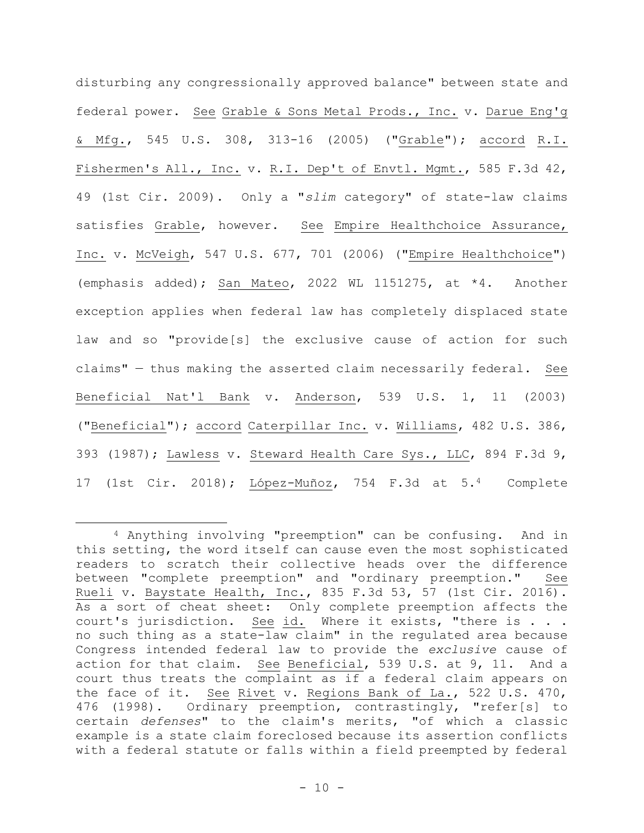disturbing any congressionally approved balance" between state and federal power. See Grable & Sons Metal Prods., Inc. v. Darue Eng'g & Mfg., 545 U.S. 308, 313-16 (2005) ("Grable"); accord R.I. Fishermen's All., Inc. v. R.I. Dep't of Envtl. Mgmt., 585 F.3d 42, 49 (1st Cir. 2009). Only a "*slim* category" of state-law claims satisfies Grable, however. See Empire Healthchoice Assurance, Inc. v. McVeigh, 547 U.S. 677, 701 (2006) ("Empire Healthchoice") (emphasis added); San Mateo, 2022 WL 1151275, at \*4. Another exception applies when federal law has completely displaced state law and so "provide[s] the exclusive cause of action for such claims" — thus making the asserted claim necessarily federal. See Beneficial Nat'l Bank v. Anderson, 539 U.S. 1, 11 (2003) ("Beneficial"); accord Caterpillar Inc. v. Williams, 482 U.S. 386, 393 (1987); Lawless v. Steward Health Care Sys., LLC, 894 F.3d 9, 17 (1st Cir. 2018); López-Muñoz, 754 F.3d at 5.4 Complete

<sup>4</sup> Anything involving "preemption" can be confusing. And in this setting, the word itself can cause even the most sophisticated readers to scratch their collective heads over the difference between "complete preemption" and "ordinary preemption." See Rueli v. Baystate Health, Inc., 835 F.3d 53, 57 (1st Cir. 2016). As a sort of cheat sheet: Only complete preemption affects the court's jurisdiction. See id. Where it exists, "there is . . . no such thing as a state-law claim" in the regulated area because Congress intended federal law to provide the *exclusive* cause of action for that claim. See Beneficial, 539 U.S. at 9, 11. And a court thus treats the complaint as if a federal claim appears on the face of it. See Rivet v. Regions Bank of La., 522 U.S. 470, 476 (1998). Ordinary preemption, contrastingly, "refer[s] to certain *defenses*" to the claim's merits, "of which a classic example is a state claim foreclosed because its assertion conflicts with a federal statute or falls within a field preempted by federal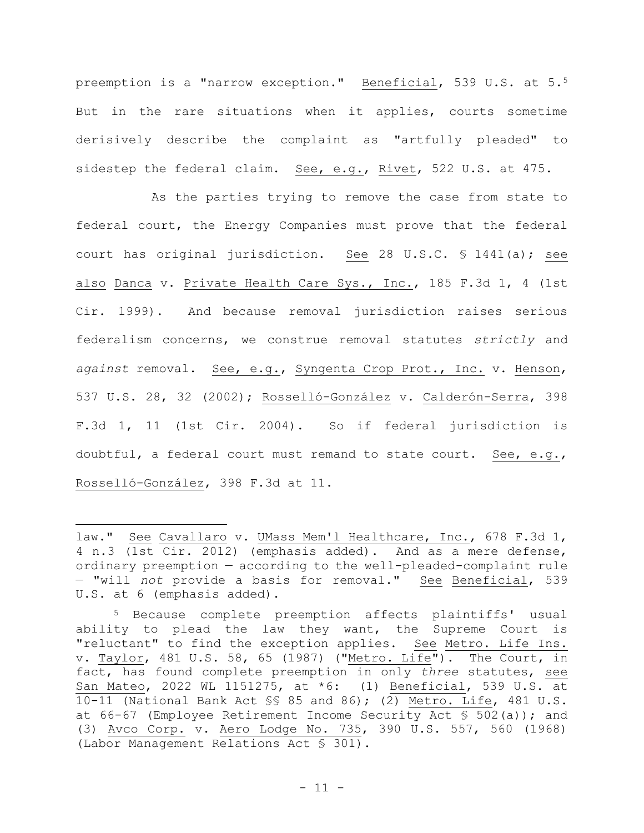preemption is a "narrow exception." Beneficial, 539 U.S. at 5.<sup>5</sup> But in the rare situations when it applies, courts sometime derisively describe the complaint as "artfully pleaded" to sidestep the federal claim. See, e.g., Rivet, 522 U.S. at 475.

As the parties trying to remove the case from state to federal court, the Energy Companies must prove that the federal court has original jurisdiction. See 28 U.S.C. § 1441(a); see also Danca v. Private Health Care Sys., Inc., 185 F.3d 1, 4 (1st Cir. 1999). And because removal jurisdiction raises serious federalism concerns, we construe removal statutes *strictly* and *against* removal. See, e.g., Syngenta Crop Prot., Inc. v. Henson, 537 U.S. 28, 32 (2002); Rosselló-González v. Calderón-Serra, 398 F.3d 1, 11 (1st Cir. 2004). So if federal jurisdiction is doubtful, a federal court must remand to state court. See, e.g., Rosselló-González, 398 F.3d at 11.

law." See Cavallaro v. UMass Mem'l Healthcare, Inc., 678 F.3d 1, 4 n.3 (1st Cir. 2012) (emphasis added). And as a mere defense, ordinary preemption — according to the well-pleaded-complaint rule — "will *not* provide a basis for removal." See Beneficial, 539 U.S. at 6 (emphasis added).

<sup>5</sup> Because complete preemption affects plaintiffs' usual ability to plead the law they want, the Supreme Court is "reluctant" to find the exception applies. See Metro. Life Ins. v. Taylor, 481 U.S. 58, 65 (1987) ("Metro. Life"). The Court, in fact, has found complete preemption in only *three* statutes, see San Mateo, 2022 WL 1151275, at \*6: (1) Beneficial, 539 U.S. at 10-11 (National Bank Act §§ 85 and 86); (2) Metro. Life, 481 U.S. at 66-67 (Employee Retirement Income Security Act § 502(a)); and (3) Avco Corp. v. Aero Lodge No. 735, 390 U.S. 557, 560 (1968) (Labor Management Relations Act § 301).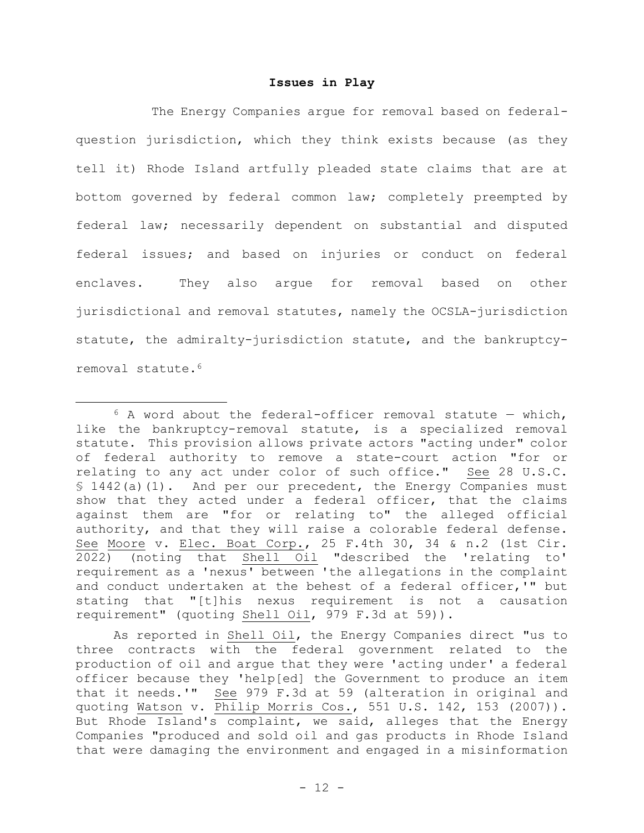## **Issues in Play**

The Energy Companies argue for removal based on federalquestion jurisdiction, which they think exists because (as they tell it) Rhode Island artfully pleaded state claims that are at bottom governed by federal common law; completely preempted by federal law; necessarily dependent on substantial and disputed federal issues; and based on injuries or conduct on federal enclaves. They also argue for removal based on other jurisdictional and removal statutes, namely the OCSLA-jurisdiction statute, the admiralty-jurisdiction statute, and the bankruptcyremoval statute.<sup>6</sup>

 $6$  A word about the federal-officer removal statute – which, like the bankruptcy-removal statute, is a specialized removal statute. This provision allows private actors "acting under" color of federal authority to remove a state-court action "for or relating to any act under color of such office." See 28 U.S.C. § 1442(a)(1). And per our precedent, the Energy Companies must show that they acted under a federal officer, that the claims against them are "for or relating to" the alleged official authority, and that they will raise a colorable federal defense. See Moore v. Elec. Boat Corp., 25 F.4th 30, 34 & n.2 (1st Cir. 2022) (noting that Shell Oil "described the 'relating to' requirement as a 'nexus' between 'the allegations in the complaint and conduct undertaken at the behest of a federal officer,'" but stating that "[t]his nexus requirement is not a causation requirement" (quoting Shell Oil, 979 F.3d at 59)).

As reported in Shell Oil, the Energy Companies direct "us to three contracts with the federal government related to the production of oil and argue that they were 'acting under' a federal officer because they 'help[ed] the Government to produce an item that it needs.'" See 979 F.3d at 59 (alteration in original and quoting Watson v. Philip Morris Cos., 551 U.S. 142, 153 (2007)). But Rhode Island's complaint, we said, alleges that the Energy Companies "produced and sold oil and gas products in Rhode Island that were damaging the environment and engaged in a misinformation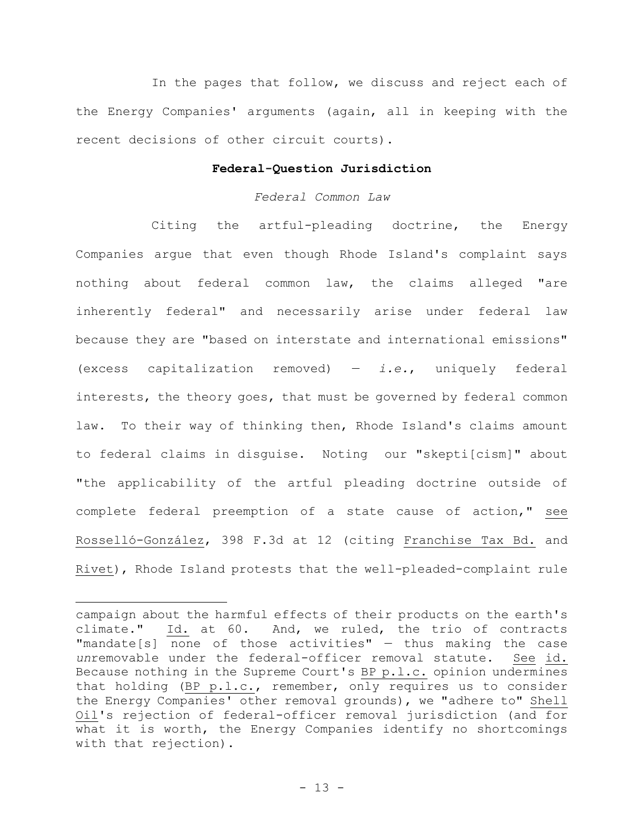In the pages that follow, we discuss and reject each of the Energy Companies' arguments (again, all in keeping with the recent decisions of other circuit courts).

# **Federal-Question Jurisdiction**

## *Federal Common Law*

Citing the artful-pleading doctrine, the Energy Companies argue that even though Rhode Island's complaint says nothing about federal common law, the claims alleged "are inherently federal" and necessarily arise under federal law because they are "based on interstate and international emissions" (excess capitalization removed) — *i.e.*, uniquely federal interests, the theory goes, that must be governed by federal common law. To their way of thinking then, Rhode Island's claims amount to federal claims in disguise. Noting our "skepti[cism]" about "the applicability of the artful pleading doctrine outside of complete federal preemption of a state cause of action," see Rosselló-González, 398 F.3d at 12 (citing Franchise Tax Bd. and Rivet), Rhode Island protests that the well-pleaded-complaint rule

campaign about the harmful effects of their products on the earth's climate." Id. at 60. And, we ruled, the trio of contracts  $"$ mandate[s] none of those activities"  $-$  thus making the case *un*removable under the federal-officer removal statute. See id. Because nothing in the Supreme Court's BP p.l.c. opinion undermines that holding (BP p.l.c., remember, only requires us to consider the Energy Companies' other removal grounds), we "adhere to" Shell Oil's rejection of federal-officer removal jurisdiction (and for what it is worth, the Energy Companies identify no shortcomings with that rejection).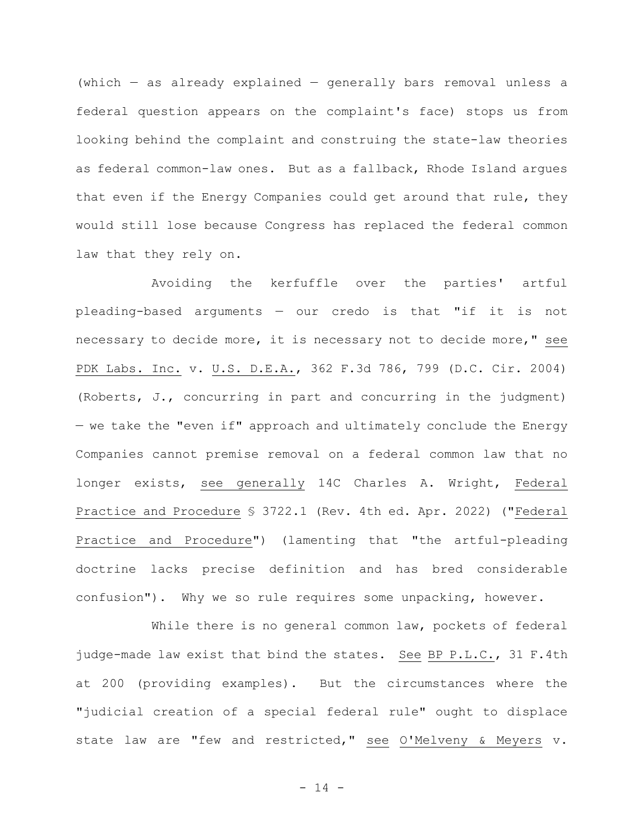(which  $-$  as already explained  $-$  generally bars removal unless a federal question appears on the complaint's face) stops us from looking behind the complaint and construing the state-law theories as federal common-law ones. But as a fallback, Rhode Island argues that even if the Energy Companies could get around that rule, they would still lose because Congress has replaced the federal common law that they rely on.

Avoiding the kerfuffle over the parties' artful pleading-based arguments — our credo is that "if it is not necessary to decide more, it is necessary not to decide more," see PDK Labs. Inc. v. U.S. D.E.A., 362 F.3d 786, 799 (D.C. Cir. 2004) (Roberts, J., concurring in part and concurring in the judgment) — we take the "even if" approach and ultimately conclude the Energy Companies cannot premise removal on a federal common law that no longer exists, see generally 14C Charles A. Wright, Federal Practice and Procedure § 3722.1 (Rev. 4th ed. Apr. 2022) ("Federal Practice and Procedure") (lamenting that "the artful-pleading doctrine lacks precise definition and has bred considerable confusion"). Why we so rule requires some unpacking, however.

While there is no general common law, pockets of federal judge-made law exist that bind the states. See BP P.L.C., 31 F.4th at 200 (providing examples). But the circumstances where the "judicial creation of a special federal rule" ought to displace state law are "few and restricted," see O'Melveny & Meyers v.

- 14 -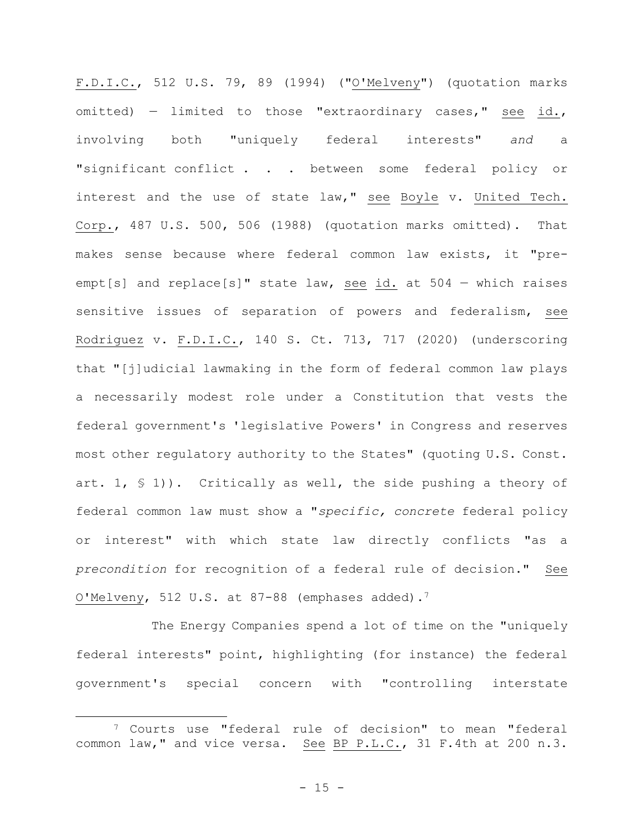F.D.I.C., 512 U.S. 79, 89 (1994) ("O'Melveny") (quotation marks omitted) — limited to those "extraordinary cases," see id., involving both "uniquely federal interests" *and* a "significant conflict . . . between some federal policy or interest and the use of state law," see Boyle v. United Tech. Corp., 487 U.S. 500, 506 (1988) (quotation marks omitted). That makes sense because where federal common law exists, it "preempt[s] and replace[s]" state law, see id. at 504 — which raises sensitive issues of separation of powers and federalism, see Rodriguez v. F.D.I.C., 140 S. Ct. 713, 717 (2020) (underscoring that "[j]udicial lawmaking in the form of federal common law plays a necessarily modest role under a Constitution that vests the federal government's 'legislative Powers' in Congress and reserves most other regulatory authority to the States" (quoting U.S. Const. art. 1,  $\leq 1$ )). Critically as well, the side pushing a theory of federal common law must show a "*specific, concrete* federal policy or interest" with which state law directly conflicts "as a *precondition* for recognition of a federal rule of decision." See O'Melveny, 512 U.S. at 87-88 (emphases added).<sup>7</sup>

The Energy Companies spend a lot of time on the "uniquely federal interests" point, highlighting (for instance) the federal government's special concern with "controlling interstate

<sup>7</sup> Courts use "federal rule of decision" to mean "federal common law," and vice versa. See BP P.L.C., 31 F.4th at 200 n.3.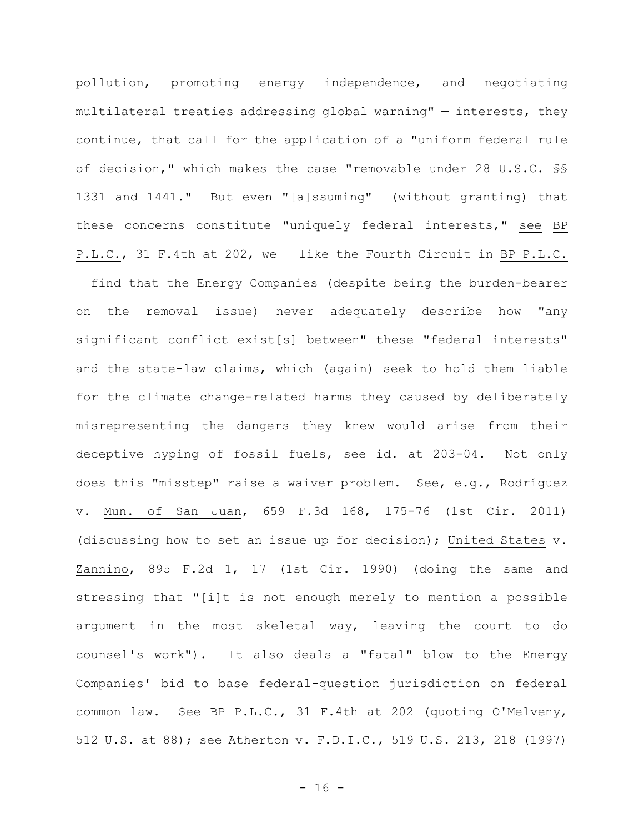pollution, promoting energy independence, and negotiating multilateral treaties addressing global warning"  $-$  interests, they continue, that call for the application of a "uniform federal rule of decision," which makes the case "removable under 28 U.S.C. §§ 1331 and 1441." But even "[a]ssuming" (without granting) that these concerns constitute "uniquely federal interests," see BP P.L.C., 31 F.4th at 202, we — like the Fourth Circuit in BP P.L.C. — find that the Energy Companies (despite being the burden-bearer on the removal issue) never adequately describe how "any significant conflict exist[s] between" these "federal interests" and the state-law claims, which (again) seek to hold them liable for the climate change-related harms they caused by deliberately misrepresenting the dangers they knew would arise from their deceptive hyping of fossil fuels, see id. at 203-04. Not only does this "misstep" raise a waiver problem. See, e.g., Rodríguez v. Mun. of San Juan, 659 F.3d 168, 175-76 (1st Cir. 2011) (discussing how to set an issue up for decision); United States v. Zannino, 895 F.2d 1, 17 (1st Cir. 1990) (doing the same and stressing that "[i]t is not enough merely to mention a possible argument in the most skeletal way, leaving the court to do counsel's work"). It also deals a "fatal" blow to the Energy Companies' bid to base federal-question jurisdiction on federal common law. See BP P.L.C., 31 F.4th at 202 (quoting O'Melveny, 512 U.S. at 88); see Atherton v. F.D.I.C., 519 U.S. 213, 218 (1997)

 $- 16 -$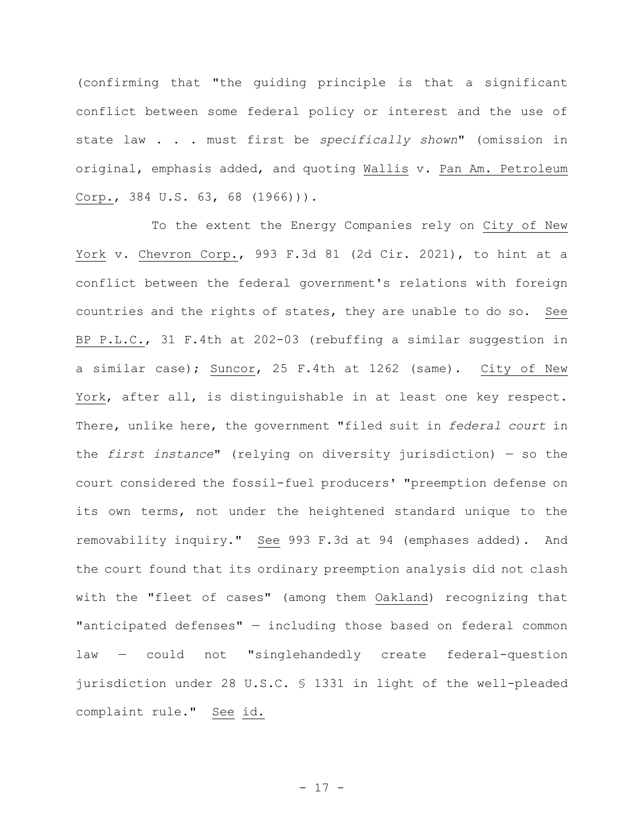(confirming that "the guiding principle is that a significant conflict between some federal policy or interest and the use of state law . . . must first be *specifically shown*" (omission in original, emphasis added, and quoting Wallis v. Pan Am. Petroleum Corp., 384 U.S. 63, 68 (1966))).

To the extent the Energy Companies rely on City of New York v. Chevron Corp., 993 F.3d 81 (2d Cir. 2021), to hint at a conflict between the federal government's relations with foreign countries and the rights of states, they are unable to do so. See BP P.L.C., 31 F.4th at 202-03 (rebuffing a similar suggestion in a similar case); Suncor, 25 F.4th at 1262 (same). City of New York, after all, is distinguishable in at least one key respect. There, unlike here, the government "filed suit in *federal court* in the *first instance*" (relying on diversity jurisdiction) — so the court considered the fossil-fuel producers' "preemption defense on its own terms, not under the heightened standard unique to the removability inquiry." See 993 F.3d at 94 (emphases added). And the court found that its ordinary preemption analysis did not clash with the "fleet of cases" (among them Oakland) recognizing that "anticipated defenses" — including those based on federal common law — could not "singlehandedly create federal-question jurisdiction under 28 U.S.C. § 1331 in light of the well-pleaded complaint rule." See id.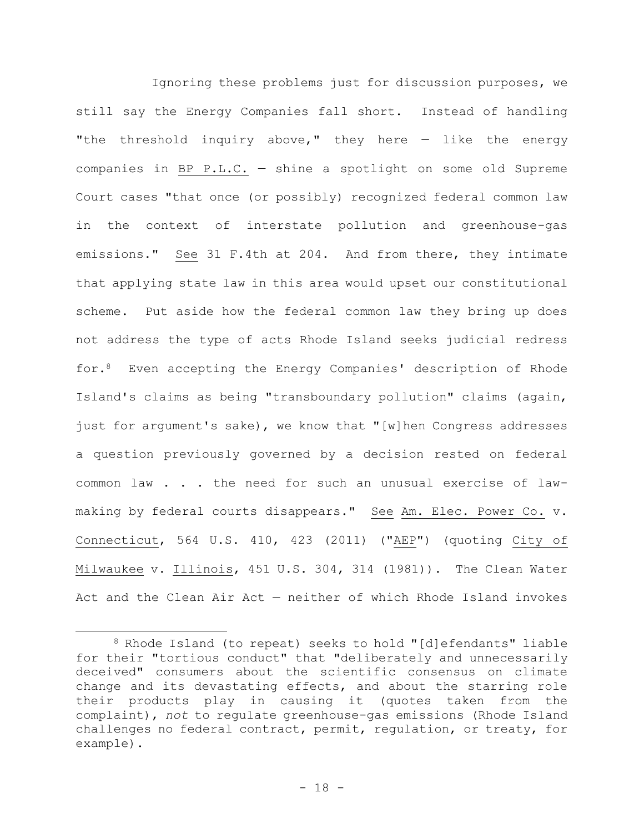Ignoring these problems just for discussion purposes, we still say the Energy Companies fall short. Instead of handling "the threshold inquiry above," they here  $-$  like the energy companies in BP P.L.C. — shine a spotlight on some old Supreme Court cases "that once (or possibly) recognized federal common law in the context of interstate pollution and greenhouse-gas emissions." See 31 F.4th at 204. And from there, they intimate that applying state law in this area would upset our constitutional scheme. Put aside how the federal common law they bring up does not address the type of acts Rhode Island seeks judicial redress for.8 Even accepting the Energy Companies' description of Rhode Island's claims as being "transboundary pollution" claims (again, just for argument's sake), we know that "[w]hen Congress addresses a question previously governed by a decision rested on federal common law . . . the need for such an unusual exercise of lawmaking by federal courts disappears." See Am. Elec. Power Co. v. Connecticut, 564 U.S. 410, 423 (2011) ("AEP") (quoting City of Milwaukee v. Illinois, 451 U.S. 304, 314 (1981)). The Clean Water Act and the Clean Air Act — neither of which Rhode Island invokes

<sup>8</sup> Rhode Island (to repeat) seeks to hold "[d]efendants" liable for their "tortious conduct" that "deliberately and unnecessarily deceived" consumers about the scientific consensus on climate change and its devastating effects, and about the starring role their products play in causing it (quotes taken from the complaint), *not* to regulate greenhouse-gas emissions (Rhode Island challenges no federal contract, permit, regulation, or treaty, for example).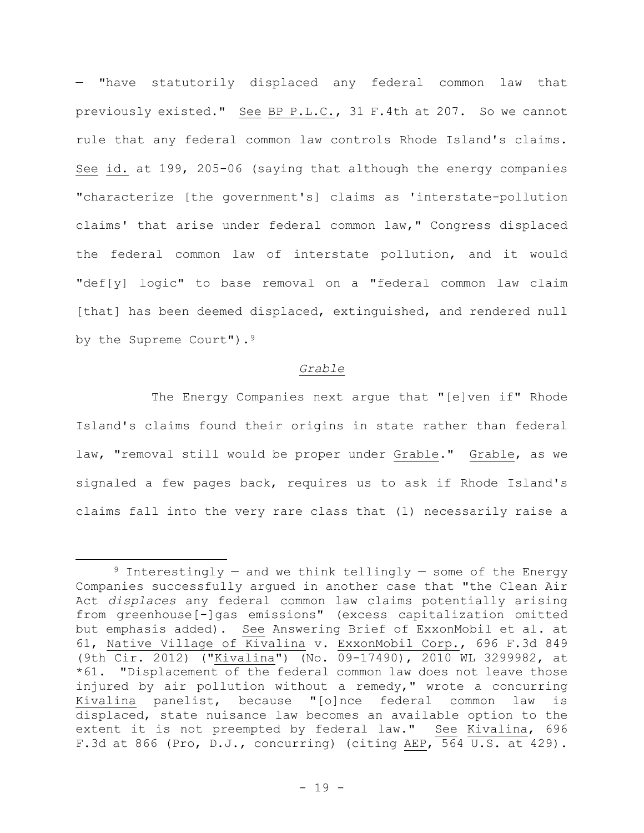— "have statutorily displaced any federal common law that previously existed." See BP P.L.C., 31 F.4th at 207. So we cannot rule that any federal common law controls Rhode Island's claims. See id. at 199, 205-06 (saying that although the energy companies "characterize [the government's] claims as 'interstate-pollution claims' that arise under federal common law," Congress displaced the federal common law of interstate pollution, and it would "def[y] logic" to base removal on a "federal common law claim [that] has been deemed displaced, extinguished, and rendered null by the Supreme Court").<sup>9</sup>

#### *Grable*

The Energy Companies next argue that "[e]ven if" Rhode Island's claims found their origins in state rather than federal law, "removal still would be proper under Grable." Grable, as we signaled a few pages back, requires us to ask if Rhode Island's claims fall into the very rare class that (1) necessarily raise a

<sup>&</sup>lt;sup>9</sup> Interestingly – and we think tellingly – some of the Energy Companies successfully argued in another case that "the Clean Air Act *displaces* any federal common law claims potentially arising from greenhouse[-]gas emissions" (excess capitalization omitted but emphasis added). See Answering Brief of ExxonMobil et al. at 61, Native Village of Kivalina v. ExxonMobil Corp., 696 F.3d 849 (9th Cir. 2012) ("Kivalina") (No. 09-17490), 2010 WL 3299982, at \*61. "Displacement of the federal common law does not leave those injured by air pollution without a remedy," wrote a concurring Kivalina panelist, because "[o]nce federal common law is displaced, state nuisance law becomes an available option to the extent it is not preempted by federal law." See Kivalina, 696 F.3d at 866 (Pro, D.J., concurring) (citing AEP, 564 U.S. at 429).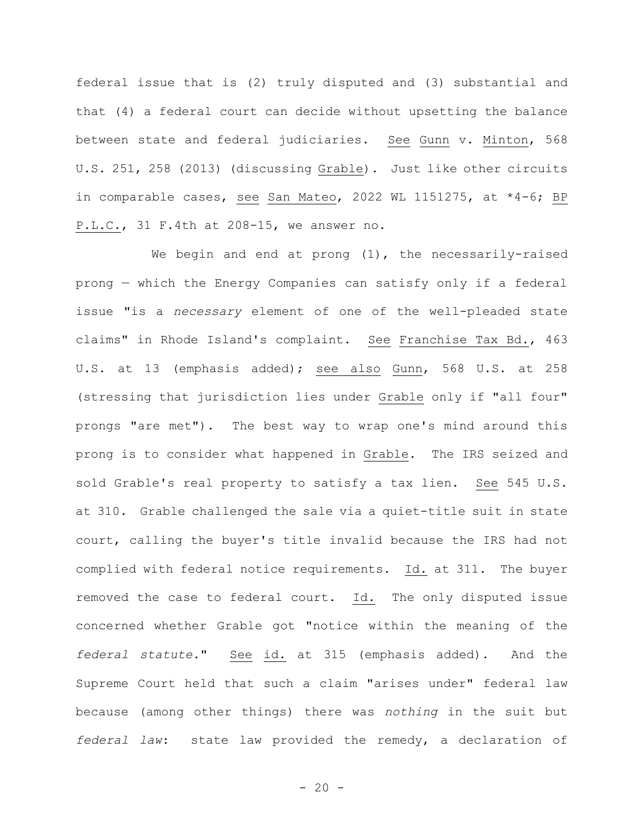federal issue that is (2) truly disputed and (3) substantial and that (4) a federal court can decide without upsetting the balance between state and federal judiciaries. See Gunn v. Minton, 568 U.S. 251, 258 (2013) (discussing Grable). Just like other circuits in comparable cases, see San Mateo, 2022 WL 1151275, at \*4-6; BP P.L.C., 31 F.4th at 208-15, we answer no.

We begin and end at prong (1), the necessarily-raised prong — which the Energy Companies can satisfy only if a federal issue "is a *necessary* element of one of the well-pleaded state claims" in Rhode Island's complaint. See Franchise Tax Bd., 463 U.S. at 13 (emphasis added); see also Gunn, 568 U.S. at 258 (stressing that jurisdiction lies under Grable only if "all four" prongs "are met"). The best way to wrap one's mind around this prong is to consider what happened in Grable. The IRS seized and sold Grable's real property to satisfy a tax lien. See 545 U.S. at 310. Grable challenged the sale via a quiet-title suit in state court, calling the buyer's title invalid because the IRS had not complied with federal notice requirements. Id. at 311. The buyer removed the case to federal court. Id. The only disputed issue concerned whether Grable got "notice within the meaning of the *federal statute*." See id. at 315 (emphasis added). And the Supreme Court held that such a claim "arises under" federal law because (among other things) there was *nothing* in the suit but *federal law*: state law provided the remedy, a declaration of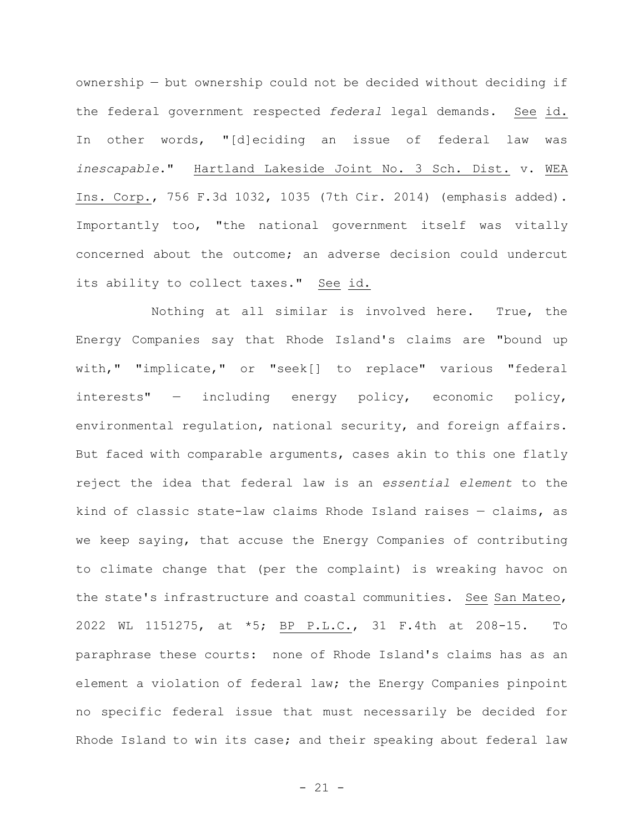ownership — but ownership could not be decided without deciding if the federal government respected *federal* legal demands. See id. In other words, "[d]eciding an issue of federal law was *inescapable*." Hartland Lakeside Joint No. 3 Sch. Dist. v. WEA Ins. Corp., 756 F.3d 1032, 1035 (7th Cir. 2014) (emphasis added). Importantly too, "the national government itself was vitally concerned about the outcome; an adverse decision could undercut its ability to collect taxes." See id.

Nothing at all similar is involved here. True, the Energy Companies say that Rhode Island's claims are "bound up with," "implicate," or "seek[] to replace" various "federal interests" — including energy policy, economic policy, environmental regulation, national security, and foreign affairs. But faced with comparable arguments, cases akin to this one flatly reject the idea that federal law is an *essential element* to the kind of classic state-law claims Rhode Island raises — claims, as we keep saying, that accuse the Energy Companies of contributing to climate change that (per the complaint) is wreaking havoc on the state's infrastructure and coastal communities. See San Mateo, 2022 WL 1151275, at \*5; BP P.L.C., 31 F.4th at 208-15. To paraphrase these courts: none of Rhode Island's claims has as an element a violation of federal law; the Energy Companies pinpoint no specific federal issue that must necessarily be decided for Rhode Island to win its case; and their speaking about federal law

- 21 -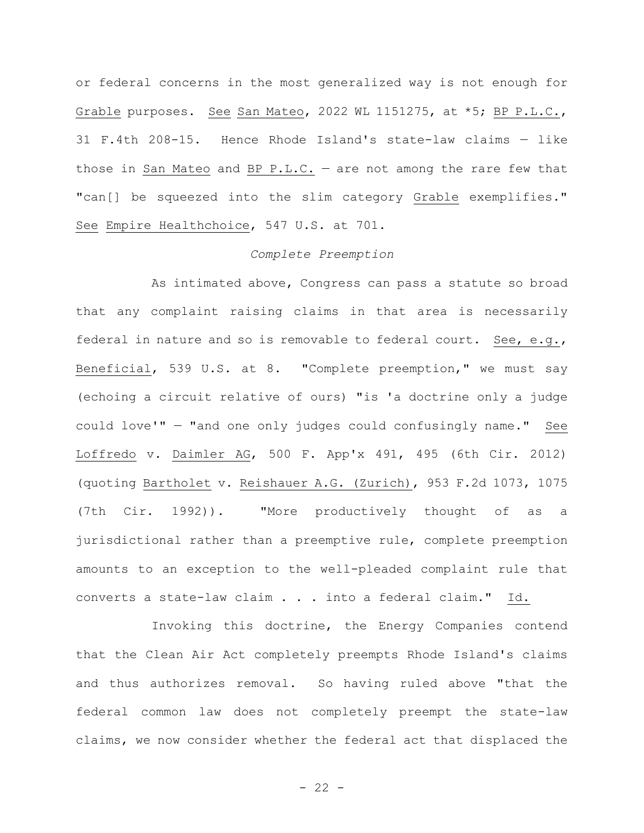or federal concerns in the most generalized way is not enough for Grable purposes. See San Mateo, 2022 WL 1151275, at \*5; BP P.L.C., 31 F.4th 208-15. Hence Rhode Island's state-law claims — like those in San Mateo and BP P.L.C.  $-$  are not among the rare few that "can[] be squeezed into the slim category Grable exemplifies." See Empire Healthchoice, 547 U.S. at 701.

# *Complete Preemption*

As intimated above, Congress can pass a statute so broad that any complaint raising claims in that area is necessarily federal in nature and so is removable to federal court. See, e.g., Beneficial, 539 U.S. at 8. "Complete preemption," we must say (echoing a circuit relative of ours) "is 'a doctrine only a judge could love'" — "and one only judges could confusingly name." See Loffredo v. Daimler AG, 500 F. App'x 491, 495 (6th Cir. 2012) (quoting Bartholet v. Reishauer A.G. (Zurich), 953 F.2d 1073, 1075 (7th Cir. 1992)). "More productively thought of as a jurisdictional rather than a preemptive rule, complete preemption amounts to an exception to the well-pleaded complaint rule that converts a state-law claim . . . into a federal claim." Id.

Invoking this doctrine, the Energy Companies contend that the Clean Air Act completely preempts Rhode Island's claims and thus authorizes removal. So having ruled above "that the federal common law does not completely preempt the state-law claims, we now consider whether the federal act that displaced the

 $- 22 -$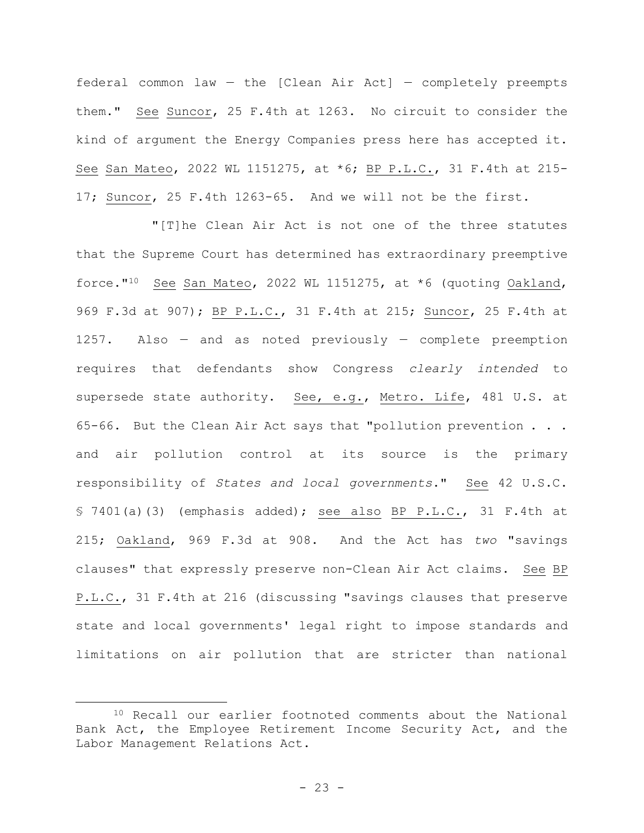federal common law  $-$  the [Clean Air Act]  $-$  completely preempts them." See Suncor, 25 F.4th at 1263. No circuit to consider the kind of argument the Energy Companies press here has accepted it. See San Mateo, 2022 WL 1151275, at \*6; BP P.L.C., 31 F.4th at 215- 17; Suncor, 25 F.4th 1263-65. And we will not be the first.

"[T]he Clean Air Act is not one of the three statutes that the Supreme Court has determined has extraordinary preemptive force."10 See San Mateo, 2022 WL 1151275, at \*6 (quoting Oakland, 969 F.3d at 907); BP P.L.C., 31 F.4th at 215; Suncor, 25 F.4th at 1257. Also — and as noted previously — complete preemption requires that defendants show Congress *clearly intended* to supersede state authority. See, e.g., Metro. Life, 481 U.S. at 65-66. But the Clean Air Act says that "pollution prevention . . . and air pollution control at its source is the primary responsibility of *States and local governments*." See 42 U.S.C. § 7401(a)(3) (emphasis added); see also BP P.L.C., 31 F.4th at 215; Oakland, 969 F.3d at 908. And the Act has *two* "savings clauses" that expressly preserve non-Clean Air Act claims. See BP P.L.C., 31 F.4th at 216 (discussing "savings clauses that preserve state and local governments' legal right to impose standards and limitations on air pollution that are stricter than national

<sup>10</sup> Recall our earlier footnoted comments about the National Bank Act, the Employee Retirement Income Security Act, and the Labor Management Relations Act.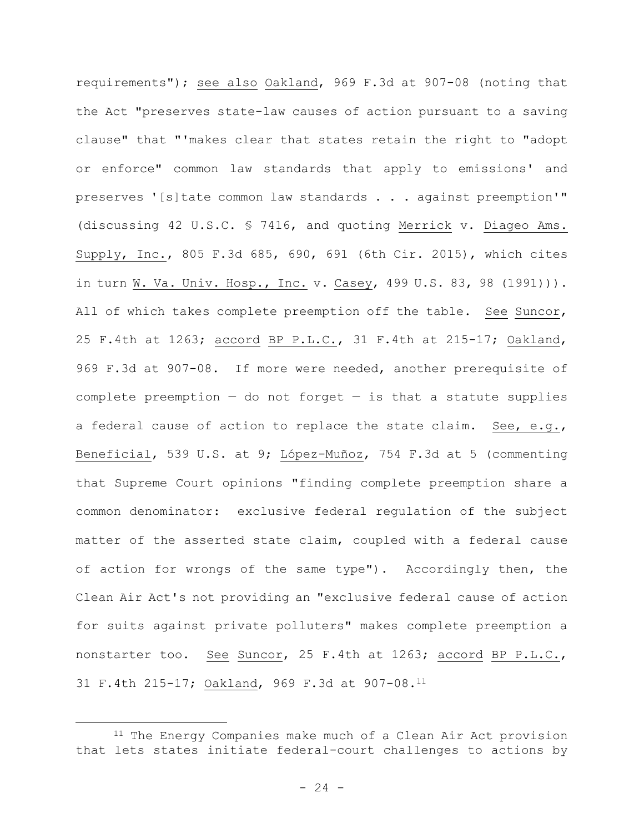requirements"); see also Oakland, 969 F.3d at 907-08 (noting that the Act "preserves state-law causes of action pursuant to a saving clause" that "'makes clear that states retain the right to "adopt or enforce" common law standards that apply to emissions' and preserves '[s]tate common law standards . . . against preemption'" (discussing 42 U.S.C. § 7416, and quoting Merrick v. Diageo Ams. Supply, Inc., 805 F.3d 685, 690, 691 (6th Cir. 2015), which cites in turn W. Va. Univ. Hosp., Inc. v. Casey, 499 U.S. 83, 98 (1991))). All of which takes complete preemption off the table. See Suncor, 25 F.4th at 1263; accord BP P.L.C., 31 F.4th at 215-17; Oakland, 969 F.3d at 907-08. If more were needed, another prerequisite of complete preemption  $-$  do not forget  $-$  is that a statute supplies a federal cause of action to replace the state claim. See, e.g., Beneficial, 539 U.S. at 9; López-Muñoz, 754 F.3d at 5 (commenting that Supreme Court opinions "finding complete preemption share a common denominator: exclusive federal regulation of the subject matter of the asserted state claim, coupled with a federal cause of action for wrongs of the same type"). Accordingly then, the Clean Air Act's not providing an "exclusive federal cause of action for suits against private polluters" makes complete preemption a nonstarter too. See Suncor, 25 F.4th at 1263; accord BP P.L.C., 31 F.4th 215-17; Oakland, 969 F.3d at 907-08.<sup>11</sup>

<sup>&</sup>lt;sup>11</sup> The Energy Companies make much of a Clean Air Act provision that lets states initiate federal-court challenges to actions by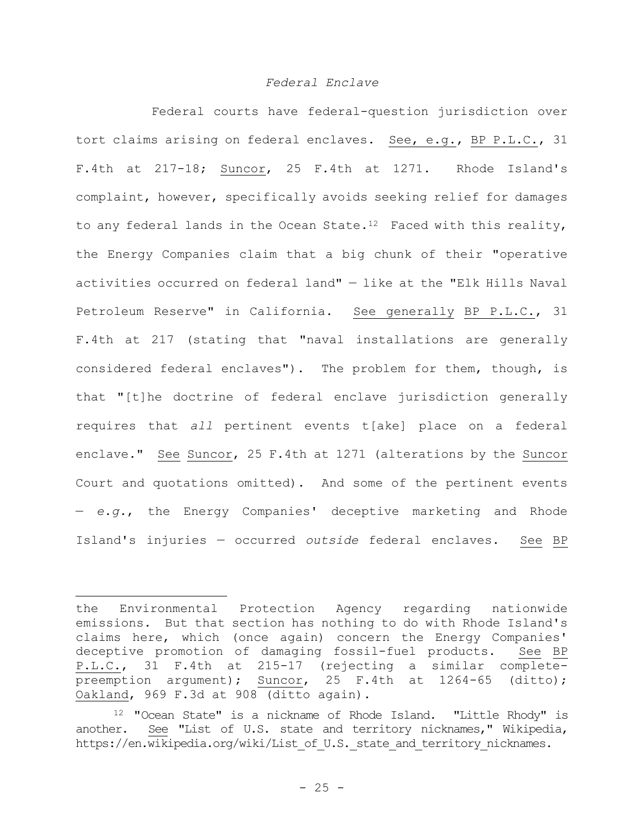## *Federal Enclave*

Federal courts have federal-question jurisdiction over tort claims arising on federal enclaves. See, e.g., BP P.L.C., 31 F.4th at 217-18; Suncor, 25 F.4th at 1271. Rhode Island's complaint, however, specifically avoids seeking relief for damages to any federal lands in the Ocean State.<sup>12</sup> Faced with this reality, the Energy Companies claim that a big chunk of their "operative activities occurred on federal land" — like at the "Elk Hills Naval Petroleum Reserve" in California. See generally BP P.L.C., 31 F.4th at 217 (stating that "naval installations are generally considered federal enclaves"). The problem for them, though, is that "[t]he doctrine of federal enclave jurisdiction generally requires that *all* pertinent events t[ake] place on a federal enclave." See Suncor, 25 F.4th at 1271 (alterations by the Suncor Court and quotations omitted). And some of the pertinent events — *e.g.*, the Energy Companies' deceptive marketing and Rhode Island's injuries — occurred *outside* federal enclaves. See BP

the Environmental Protection Agency regarding nationwide emissions. But that section has nothing to do with Rhode Island's claims here, which (once again) concern the Energy Companies' deceptive promotion of damaging fossil-fuel products. See BP P.L.C., 31 F.4th at 215-17 (rejecting a similar completepreemption argument); Suncor, 25 F.4th at 1264-65 (ditto); Oakland, 969 F.3d at 908 (ditto again).

<sup>12</sup> "Ocean State" is a nickname of Rhode Island. "Little Rhody" is another. See "List of U.S. state and territory nicknames," Wikipedia, https://en.wikipedia.org/wiki/List of U.S. state and territory nicknames.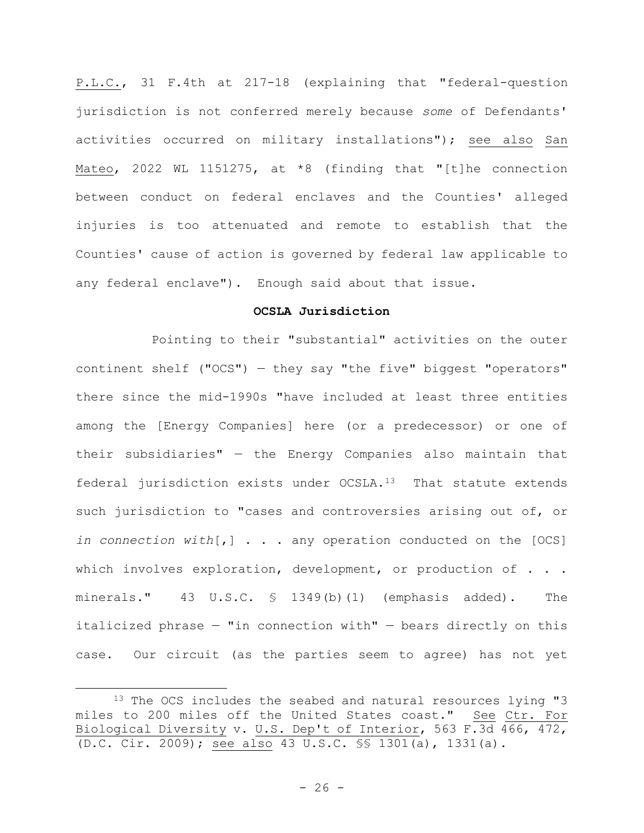P.L.C., 31 F.4th at 217-18 (explaining that "federal-question jurisdiction is not conferred merely because *some* of Defendants' activities occurred on military installations"); see also San Mateo, 2022 WL 1151275, at  $*8$  (finding that "[t]he connection between conduct on federal enclaves and the Counties' alleged injuries is too attenuated and remote to establish that the Counties' cause of action is governed by federal law applicable to any federal enclave"). Enough said about that issue.

## **OCSLA Jurisdiction**

Pointing to their "substantial" activities on the outer continent shelf ("OCS") — they say "the five" biggest "operators" there since the mid-1990s "have included at least three entities among the [Energy Companies] here (or a predecessor) or one of their subsidiaries" — the Energy Companies also maintain that federal jurisdiction exists under OCSLA.13 That statute extends such jurisdiction to "cases and controversies arising out of, or *in connection with*[,] . . . any operation conducted on the [OCS] which involves exploration, development, or production of . . . minerals." 43 U.S.C. § 1349(b)(1) (emphasis added). The italicized phrase — "in connection with" — bears directly on this case. Our circuit (as the parties seem to agree) has not yet

<sup>&</sup>lt;sup>13</sup> The OCS includes the seabed and natural resources lying "3 miles to 200 miles off the United States coast." See Ctr. For Biological Diversity v. U.S. Dep't of Interior, 563 F.3d 466, 472, (D.C. Cir. 2009); see also 43 U.S.C. §§ 1301(a), 1331(a).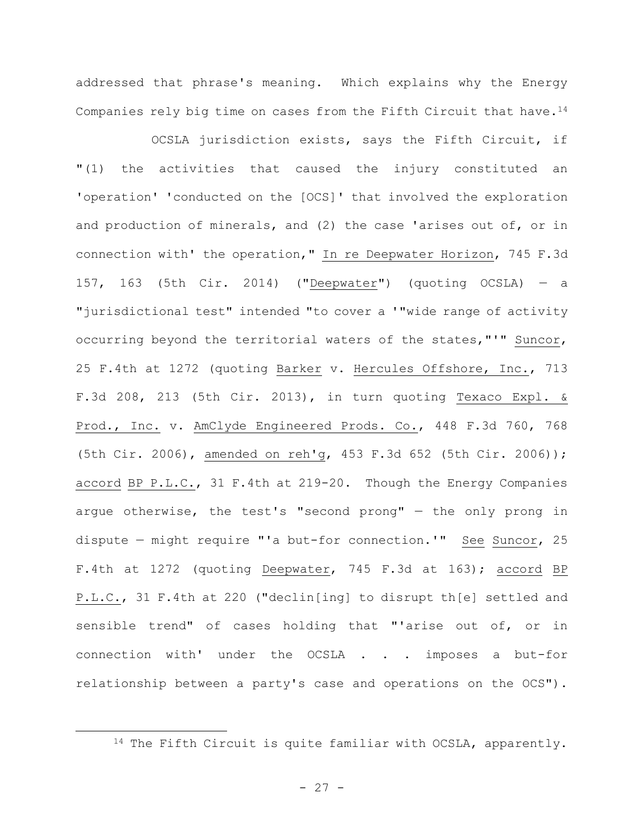addressed that phrase's meaning. Which explains why the Energy Companies rely big time on cases from the Fifth Circuit that have.<sup>14</sup>

OCSLA jurisdiction exists, says the Fifth Circuit, if "(1) the activities that caused the injury constituted an 'operation' 'conducted on the [OCS]' that involved the exploration and production of minerals, and (2) the case 'arises out of, or in connection with' the operation," In re Deepwater Horizon, 745 F.3d 157, 163 (5th Cir. 2014) ("Deepwater") (quoting OCSLA) — a "jurisdictional test" intended "to cover a '"wide range of activity occurring beyond the territorial waters of the states,"'" Suncor, 25 F.4th at 1272 (quoting Barker v. Hercules Offshore, Inc., 713 F.3d 208, 213 (5th Cir. 2013), in turn quoting Texaco Expl. & Prod., Inc. v. AmClyde Engineered Prods. Co., 448 F.3d 760, 768 (5th Cir. 2006), amended on reh'g, 453 F.3d 652 (5th Cir. 2006)); accord BP P.L.C., 31 F.4th at 219-20. Though the Energy Companies argue otherwise, the test's "second prong" — the only prong in dispute — might require "'a but-for connection.'" See Suncor, 25 F.4th at 1272 (quoting Deepwater, 745 F.3d at 163); accord BP P.L.C., 31 F.4th at 220 ("declin[ing] to disrupt th[e] settled and sensible trend" of cases holding that "'arise out of, or in connection with' under the OCSLA . . . imposes a but-for relationship between a party's case and operations on the OCS").

- 27 -

<sup>14</sup> The Fifth Circuit is quite familiar with OCSLA, apparently.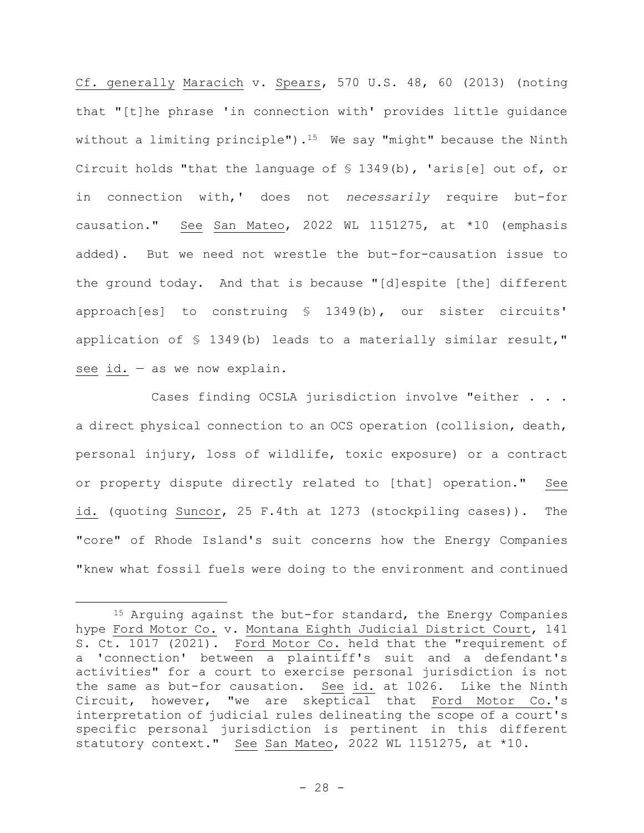Cf. generally Maracich v. Spears, 570 U.S. 48, 60 (2013) (noting that "[t]he phrase 'in connection with' provides little guidance without a limiting principle").<sup>15</sup> We say "might" because the Ninth Circuit holds "that the language of § 1349(b), 'aris[e] out of, or in connection with,' does not *necessarily* require but-for causation." See San Mateo, 2022 WL 1151275, at \*10 (emphasis added). But we need not wrestle the but-for-causation issue to the ground today. And that is because "[d]espite [the] different approach[es] to construing § 1349(b), our sister circuits' application of § 1349(b) leads to a materially similar result," see id. — as we now explain.

Cases finding OCSLA jurisdiction involve "either . . . a direct physical connection to an OCS operation (collision, death, personal injury, loss of wildlife, toxic exposure) or a contract or property dispute directly related to [that] operation." See id. (quoting Suncor, 25 F.4th at 1273 (stockpiling cases)). The "core" of Rhode Island's suit concerns how the Energy Companies "knew what fossil fuels were doing to the environment and continued

<sup>15</sup> Arquing against the but-for standard, the Energy Companies hype Ford Motor Co. v. Montana Eighth Judicial District Court, 141 S. Ct. 1017 (2021). Ford Motor Co. held that the "requirement of a 'connection' between a plaintiff's suit and a defendant's activities" for a court to exercise personal jurisdiction is not the same as but-for causation. See id. at 1026. Like the Ninth Circuit, however, "we are skeptical that Ford Motor Co.'s interpretation of judicial rules delineating the scope of a court's specific personal jurisdiction is pertinent in this different statutory context." See San Mateo, 2022 WL 1151275, at \*10.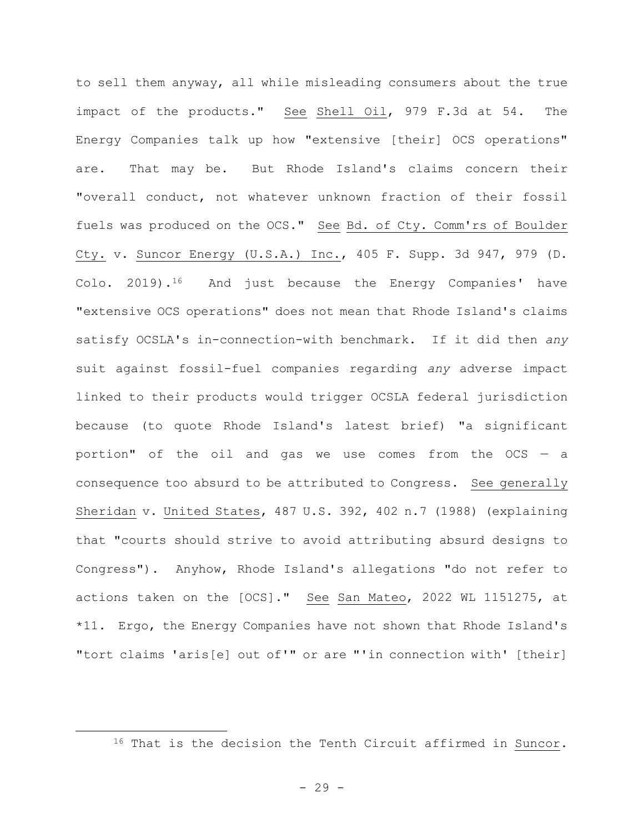to sell them anyway, all while misleading consumers about the true impact of the products." See Shell Oil, 979 F.3d at 54. The Energy Companies talk up how "extensive [their] OCS operations" are. That may be. But Rhode Island's claims concern their "overall conduct, not whatever unknown fraction of their fossil fuels was produced on the OCS." See Bd. of Cty. Comm'rs of Boulder Cty. v. Suncor Energy (U.S.A.) Inc., 405 F. Supp. 3d 947, 979 (D. Colo. 2019).16 And just because the Energy Companies' have "extensive OCS operations" does not mean that Rhode Island's claims satisfy OCSLA's in-connection-with benchmark. If it did then *any* suit against fossil-fuel companies regarding *any* adverse impact linked to their products would trigger OCSLA federal jurisdiction because (to quote Rhode Island's latest brief) "a significant portion" of the oil and gas we use comes from the OCS — a consequence too absurd to be attributed to Congress. See generally Sheridan v. United States, 487 U.S. 392, 402 n.7 (1988) (explaining that "courts should strive to avoid attributing absurd designs to Congress"). Anyhow, Rhode Island's allegations "do not refer to actions taken on the [OCS]." See San Mateo, 2022 WL 1151275, at \*11. Ergo, the Energy Companies have not shown that Rhode Island's "tort claims 'aris[e] out of'" or are "'in connection with' [their]

<sup>&</sup>lt;sup>16</sup> That is the decision the Tenth Circuit affirmed in Suncor.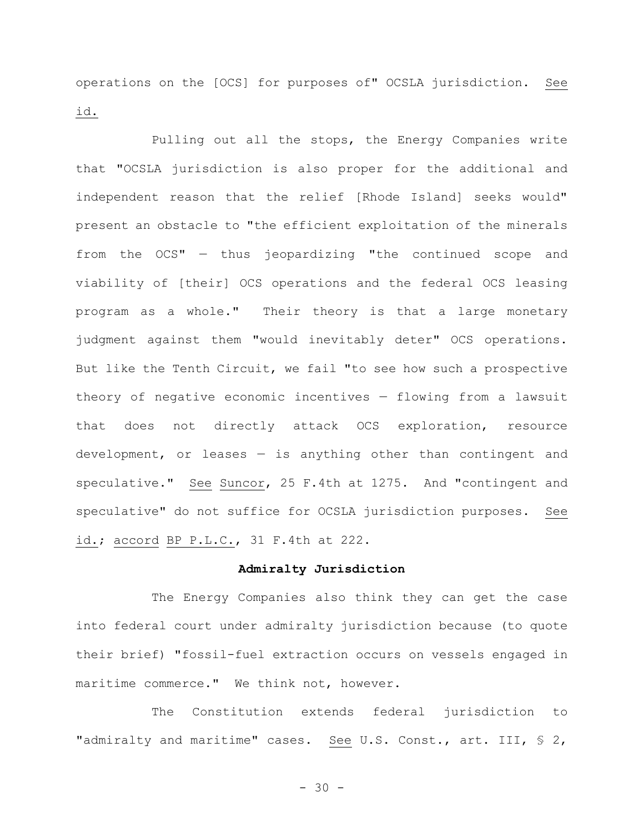operations on the [OCS] for purposes of" OCSLA jurisdiction. See id.

Pulling out all the stops, the Energy Companies write that "OCSLA jurisdiction is also proper for the additional and independent reason that the relief [Rhode Island] seeks would" present an obstacle to "the efficient exploitation of the minerals from the OCS" — thus jeopardizing "the continued scope and viability of [their] OCS operations and the federal OCS leasing program as a whole." Their theory is that a large monetary judgment against them "would inevitably deter" OCS operations. But like the Tenth Circuit, we fail "to see how such a prospective theory of negative economic incentives — flowing from a lawsuit that does not directly attack OCS exploration, resource development, or leases — is anything other than contingent and speculative." See Suncor, 25 F.4th at 1275. And "contingent and speculative" do not suffice for OCSLA jurisdiction purposes. See id.; accord BP P.L.C., 31 F.4th at 222.

# **Admiralty Jurisdiction**

The Energy Companies also think they can get the case into federal court under admiralty jurisdiction because (to quote their brief) "fossil-fuel extraction occurs on vessels engaged in maritime commerce." We think not, however.

The Constitution extends federal jurisdiction to "admiralty and maritime" cases. See U.S. Const., art. III, § 2,

 $- 30 -$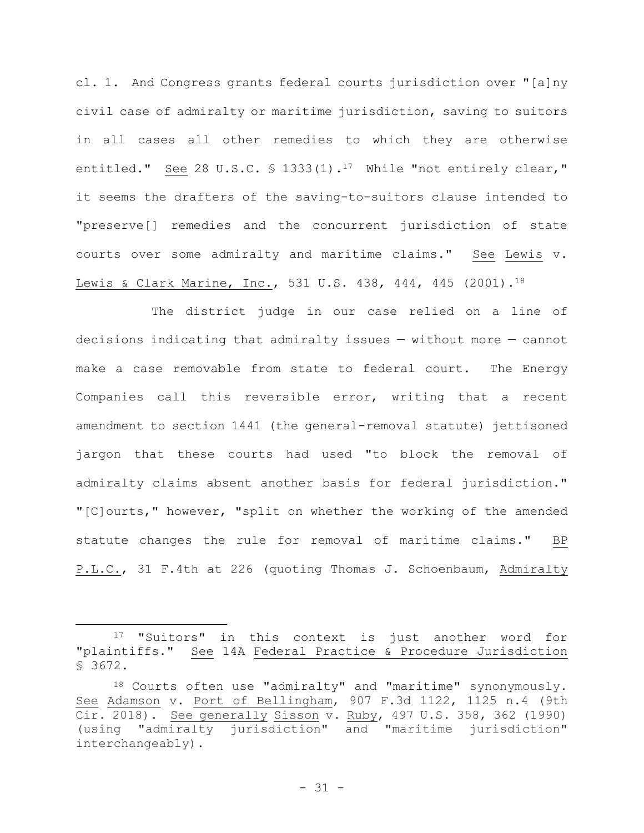cl. 1. And Congress grants federal courts jurisdiction over "[a]ny civil case of admiralty or maritime jurisdiction, saving to suitors in all cases all other remedies to which they are otherwise entitled." See 28 U.S.C. § 1333(1).<sup>17</sup> While "not entirely clear," it seems the drafters of the saving-to-suitors clause intended to "preserve[] remedies and the concurrent jurisdiction of state courts over some admiralty and maritime claims." See Lewis v. Lewis & Clark Marine, Inc., 531 U.S. 438, 444, 445 (2001).<sup>18</sup>

The district judge in our case relied on a line of decisions indicating that admiralty issues — without more — cannot make a case removable from state to federal court. The Energy Companies call this reversible error, writing that a recent amendment to section 1441 (the general-removal statute) jettisoned jargon that these courts had used "to block the removal of admiralty claims absent another basis for federal jurisdiction." "[C]ourts," however, "split on whether the working of the amended statute changes the rule for removal of maritime claims." BP P.L.C., 31 F.4th at 226 (quoting Thomas J. Schoenbaum, Admiralty

<sup>17</sup> "Suitors" in this context is just another word for "plaintiffs." See 14A Federal Practice & Procedure Jurisdiction § 3672.

<sup>18</sup> Courts often use "admiralty" and "maritime" synonymously. See Adamson v. Port of Bellingham, 907 F.3d 1122, 1125 n.4 (9th Cir. 2018). See generally Sisson v. Ruby, 497 U.S. 358, 362 (1990) (using "admiralty jurisdiction" and "maritime jurisdiction" interchangeably).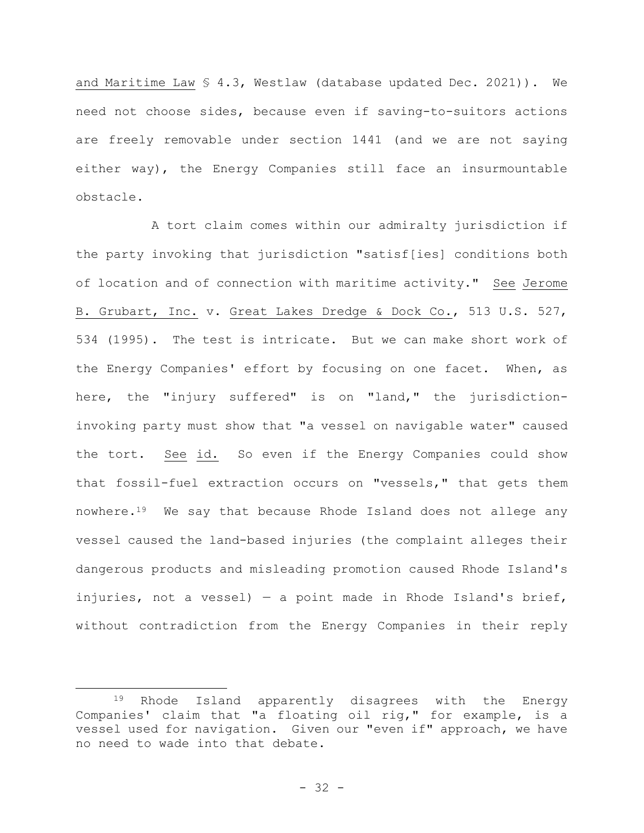and Maritime Law § 4.3, Westlaw (database updated Dec. 2021)). We need not choose sides, because even if saving-to-suitors actions are freely removable under section 1441 (and we are not saying either way), the Energy Companies still face an insurmountable obstacle.

A tort claim comes within our admiralty jurisdiction if the party invoking that jurisdiction "satisf[ies] conditions both of location and of connection with maritime activity." See Jerome B. Grubart, Inc. v. Great Lakes Dredge & Dock Co., 513 U.S. 527, 534 (1995). The test is intricate. But we can make short work of the Energy Companies' effort by focusing on one facet. When, as here, the "injury suffered" is on "land," the jurisdictioninvoking party must show that "a vessel on navigable water" caused the tort. See id. So even if the Energy Companies could show that fossil-fuel extraction occurs on "vessels," that gets them nowhere.19 We say that because Rhode Island does not allege any vessel caused the land-based injuries (the complaint alleges their dangerous products and misleading promotion caused Rhode Island's injuries, not a vessel) — a point made in Rhode Island's brief, without contradiction from the Energy Companies in their reply

<sup>19</sup> Rhode Island apparently disagrees with the Energy Companies' claim that "a floating oil rig," for example, is a vessel used for navigation. Given our "even if" approach, we have no need to wade into that debate.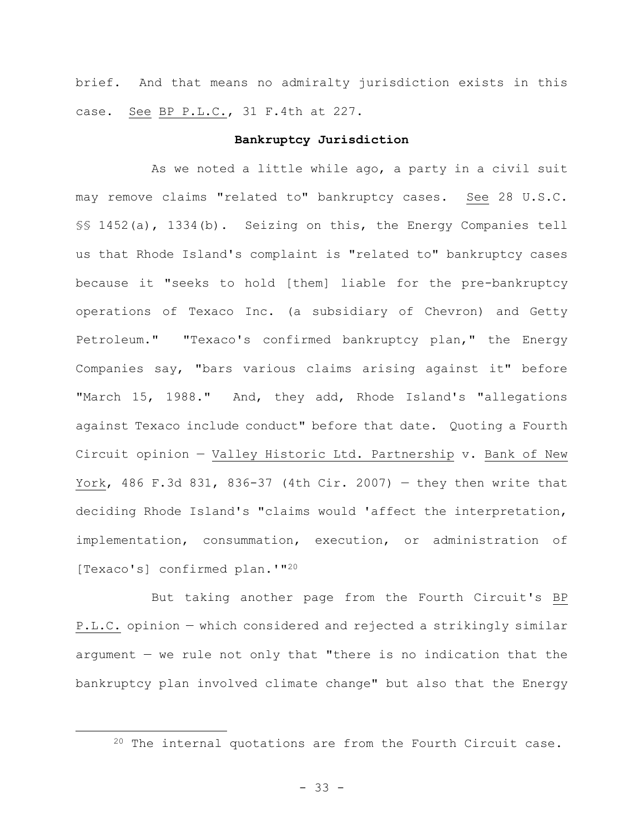brief. And that means no admiralty jurisdiction exists in this case. See BP P.L.C., 31 F.4th at 227.

## **Bankruptcy Jurisdiction**

As we noted a little while ago, a party in a civil suit may remove claims "related to" bankruptcy cases. See 28 U.S.C. §§ 1452(a), 1334(b). Seizing on this, the Energy Companies tell us that Rhode Island's complaint is "related to" bankruptcy cases because it "seeks to hold [them] liable for the pre-bankruptcy operations of Texaco Inc. (a subsidiary of Chevron) and Getty Petroleum." "Texaco's confirmed bankruptcy plan," the Energy Companies say, "bars various claims arising against it" before "March 15, 1988." And, they add, Rhode Island's "allegations against Texaco include conduct" before that date. Quoting a Fourth Circuit opinion — Valley Historic Ltd. Partnership v. Bank of New York, 486 F.3d 831, 836-37 (4th Cir. 2007) — they then write that deciding Rhode Island's "claims would 'affect the interpretation, implementation, consummation, execution, or administration of [Texaco's] confirmed plan.'"<sup>20</sup>

But taking another page from the Fourth Circuit's BP P.L.C. opinion — which considered and rejected a strikingly similar argument — we rule not only that "there is no indication that the bankruptcy plan involved climate change" but also that the Energy

<sup>&</sup>lt;sup>20</sup> The internal quotations are from the Fourth Circuit case.